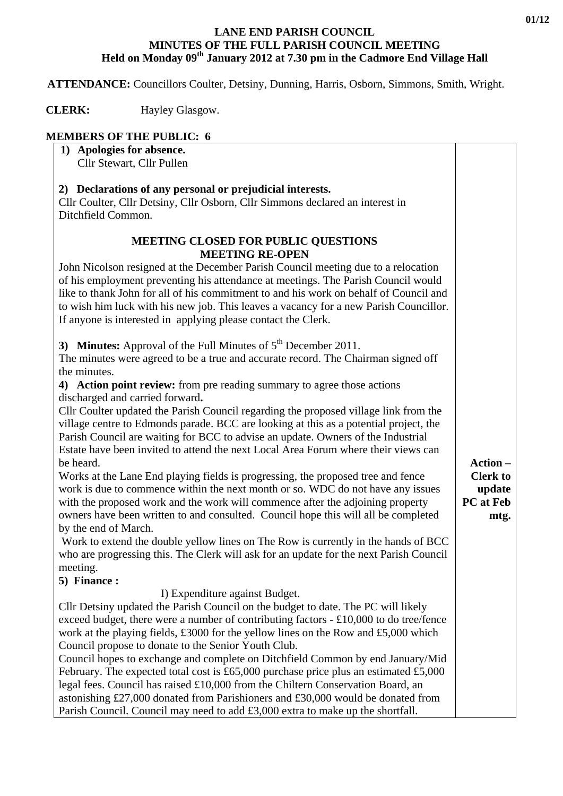#### **LANE END PARISH COUNCIL MINUTES OF THE FULL PARISH COUNCIL MEETING Held on Monday 09th January 2012 at 7.30 pm in the Cadmore End Village Hall**

 **ATTENDANCE:** Councillors Coulter, Detsiny, Dunning, Harris, Osborn, Simmons, Smith, Wright.

**CLERK:** Hayley Glasgow.

# **MEMBERS OF THE PUBLIC: 6**

| 2) Declarations of any personal or prejudicial interests.<br>Cllr Coulter, Cllr Detsiny, Cllr Osborn, Cllr Simmons declared an interest in<br>Ditchfield Common.<br><b>MEETING CLOSED FOR PUBLIC QUESTIONS</b><br><b>MEETING RE-OPEN</b><br>John Nicolson resigned at the December Parish Council meeting due to a relocation<br>of his employment preventing his attendance at meetings. The Parish Council would<br>like to thank John for all of his commitment to and his work on behalf of Council and                                                                                                                                                                                                                                                                                                                                                                                                                                                                                                                                                                                                                                                                                                                                                                                                                                                                                                                                                                                                                                                                                                                                                                                                                                                                                                                                                                                                                                                                                                                                                  | 1) Apologies for absence.<br>Cllr Stewart, Cllr Pullen                                |                                   |
|--------------------------------------------------------------------------------------------------------------------------------------------------------------------------------------------------------------------------------------------------------------------------------------------------------------------------------------------------------------------------------------------------------------------------------------------------------------------------------------------------------------------------------------------------------------------------------------------------------------------------------------------------------------------------------------------------------------------------------------------------------------------------------------------------------------------------------------------------------------------------------------------------------------------------------------------------------------------------------------------------------------------------------------------------------------------------------------------------------------------------------------------------------------------------------------------------------------------------------------------------------------------------------------------------------------------------------------------------------------------------------------------------------------------------------------------------------------------------------------------------------------------------------------------------------------------------------------------------------------------------------------------------------------------------------------------------------------------------------------------------------------------------------------------------------------------------------------------------------------------------------------------------------------------------------------------------------------------------------------------------------------------------------------------------------------|---------------------------------------------------------------------------------------|-----------------------------------|
|                                                                                                                                                                                                                                                                                                                                                                                                                                                                                                                                                                                                                                                                                                                                                                                                                                                                                                                                                                                                                                                                                                                                                                                                                                                                                                                                                                                                                                                                                                                                                                                                                                                                                                                                                                                                                                                                                                                                                                                                                                                              |                                                                                       |                                   |
| If anyone is interested in applying please contact the Clerk.<br>3) Minutes: Approval of the Full Minutes of $5th$ December 2011.<br>The minutes were agreed to be a true and accurate record. The Chairman signed off<br>the minutes.<br>4) Action point review: from pre reading summary to agree those actions<br>discharged and carried forward.<br>Cllr Coulter updated the Parish Council regarding the proposed village link from the<br>village centre to Edmonds parade. BCC are looking at this as a potential project, the<br>Parish Council are waiting for BCC to advise an update. Owners of the Industrial<br>Estate have been invited to attend the next Local Area Forum where their views can<br>Action-<br>be heard.<br>Works at the Lane End playing fields is progressing, the proposed tree and fence<br>work is due to commence within the next month or so. WDC do not have any issues<br><b>PC</b> at Feb<br>with the proposed work and the work will commence after the adjoining property<br>owners have been written to and consulted. Council hope this will all be completed<br>by the end of March.<br>Work to extend the double yellow lines on The Row is currently in the hands of BCC<br>who are progressing this. The Clerk will ask for an update for the next Parish Council<br>meeting.<br>5) Finance:<br>I) Expenditure against Budget.<br>Cllr Detsiny updated the Parish Council on the budget to date. The PC will likely<br>exceed budget, there were a number of contributing factors $- £10,000$ to do tree/fence<br>work at the playing fields, £3000 for the yellow lines on the Row and £5,000 which<br>Council propose to donate to the Senior Youth Club.<br>Council hopes to exchange and complete on Ditchfield Common by end January/Mid<br>February. The expected total cost is £65,000 purchase price plus an estimated £5,000<br>legal fees. Council has raised £10,000 from the Chiltern Conservation Board, an<br>astonishing £27,000 donated from Parishioners and £30,000 would be donated from | to wish him luck with his new job. This leaves a vacancy for a new Parish Councillor. | <b>Clerk to</b><br>update<br>mtg. |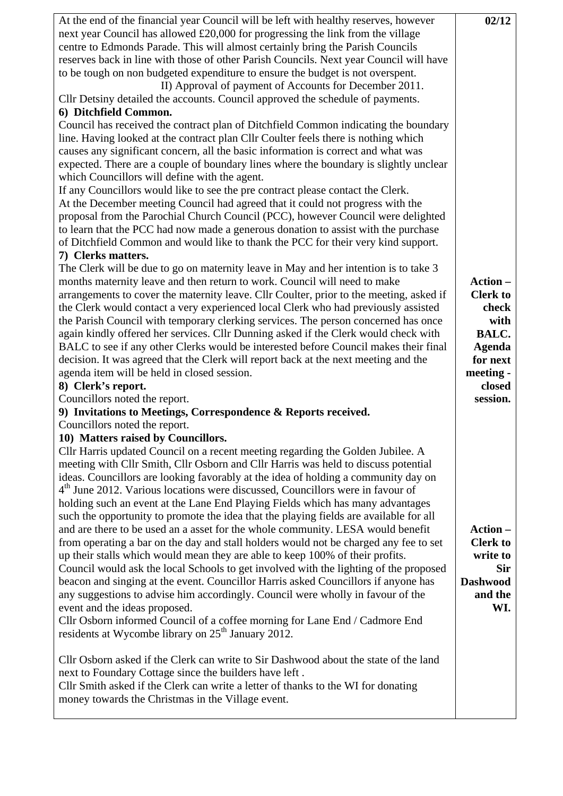| At the end of the financial year Council will be left with healthy reserves, however<br>next year Council has allowed £20,000 for progressing the link from the village<br>centre to Edmonds Parade. This will almost certainly bring the Parish Councils | 02/12                      |
|-----------------------------------------------------------------------------------------------------------------------------------------------------------------------------------------------------------------------------------------------------------|----------------------------|
| reserves back in line with those of other Parish Councils. Next year Council will have<br>to be tough on non budgeted expenditure to ensure the budget is not overspent.<br>II) Approval of payment of Accounts for December 2011.                        |                            |
| Cllr Detsiny detailed the accounts. Council approved the schedule of payments.<br>6) Ditchfield Common.                                                                                                                                                   |                            |
| Council has received the contract plan of Ditchfield Common indicating the boundary                                                                                                                                                                       |                            |
| line. Having looked at the contract plan Cllr Coulter feels there is nothing which                                                                                                                                                                        |                            |
| causes any significant concern, all the basic information is correct and what was                                                                                                                                                                         |                            |
| expected. There are a couple of boundary lines where the boundary is slightly unclear<br>which Councillors will define with the agent.                                                                                                                    |                            |
| If any Councillors would like to see the pre contract please contact the Clerk.                                                                                                                                                                           |                            |
| At the December meeting Council had agreed that it could not progress with the                                                                                                                                                                            |                            |
| proposal from the Parochial Church Council (PCC), however Council were delighted                                                                                                                                                                          |                            |
| to learn that the PCC had now made a generous donation to assist with the purchase                                                                                                                                                                        |                            |
| of Ditchfield Common and would like to thank the PCC for their very kind support.                                                                                                                                                                         |                            |
| 7) Clerks matters.                                                                                                                                                                                                                                        |                            |
| The Clerk will be due to go on maternity leave in May and her intention is to take 3                                                                                                                                                                      |                            |
| months maternity leave and then return to work. Council will need to make                                                                                                                                                                                 | Action-<br><b>Clerk to</b> |
| arrangements to cover the maternity leave. Cllr Coulter, prior to the meeting, asked if<br>the Clerk would contact a very experienced local Clerk who had previously assisted                                                                             | check                      |
| the Parish Council with temporary clerking services. The person concerned has once                                                                                                                                                                        | with                       |
| again kindly offered her services. Cllr Dunning asked if the Clerk would check with                                                                                                                                                                       | BALC.                      |
| BALC to see if any other Clerks would be interested before Council makes their final                                                                                                                                                                      | <b>Agenda</b>              |
| decision. It was agreed that the Clerk will report back at the next meeting and the                                                                                                                                                                       | for next                   |
| agenda item will be held in closed session.                                                                                                                                                                                                               | meeting -                  |
| 8) Clerk's report.                                                                                                                                                                                                                                        | closed                     |
| Councillors noted the report.                                                                                                                                                                                                                             | session.                   |
| 9) Invitations to Meetings, Correspondence & Reports received.                                                                                                                                                                                            |                            |
| Councillors noted the report.                                                                                                                                                                                                                             |                            |
| 10) Matters raised by Councillors.                                                                                                                                                                                                                        |                            |
| Cllr Harris updated Council on a recent meeting regarding the Golden Jubilee. A<br>meeting with Cllr Smith, Cllr Osborn and Cllr Harris was held to discuss potential                                                                                     |                            |
| ideas. Councillors are looking favorably at the idea of holding a community day on                                                                                                                                                                        |                            |
| 4 <sup>th</sup> June 2012. Various locations were discussed, Councillors were in favour of                                                                                                                                                                |                            |
| holding such an event at the Lane End Playing Fields which has many advantages                                                                                                                                                                            |                            |
| such the opportunity to promote the idea that the playing fields are available for all                                                                                                                                                                    |                            |
| and are there to be used an a asset for the whole community. LESA would benefit                                                                                                                                                                           | Action-                    |
| from operating a bar on the day and stall holders would not be charged any fee to set                                                                                                                                                                     | <b>Clerk to</b>            |
| up their stalls which would mean they are able to keep 100% of their profits.                                                                                                                                                                             | write to                   |
| Council would ask the local Schools to get involved with the lighting of the proposed                                                                                                                                                                     | <b>Sir</b>                 |
| beacon and singing at the event. Councillor Harris asked Councillors if anyone has<br>any suggestions to advise him accordingly. Council were wholly in favour of the                                                                                     | <b>Dashwood</b><br>and the |
| event and the ideas proposed.                                                                                                                                                                                                                             | WI.                        |
| Cllr Osborn informed Council of a coffee morning for Lane End / Cadmore End                                                                                                                                                                               |                            |
| residents at Wycombe library on 25 <sup>th</sup> January 2012.                                                                                                                                                                                            |                            |
|                                                                                                                                                                                                                                                           |                            |
| Cllr Osborn asked if the Clerk can write to Sir Dashwood about the state of the land                                                                                                                                                                      |                            |
| next to Foundary Cottage since the builders have left.                                                                                                                                                                                                    |                            |
| Cllr Smith asked if the Clerk can write a letter of thanks to the WI for donating                                                                                                                                                                         |                            |
| money towards the Christmas in the Village event.                                                                                                                                                                                                         |                            |